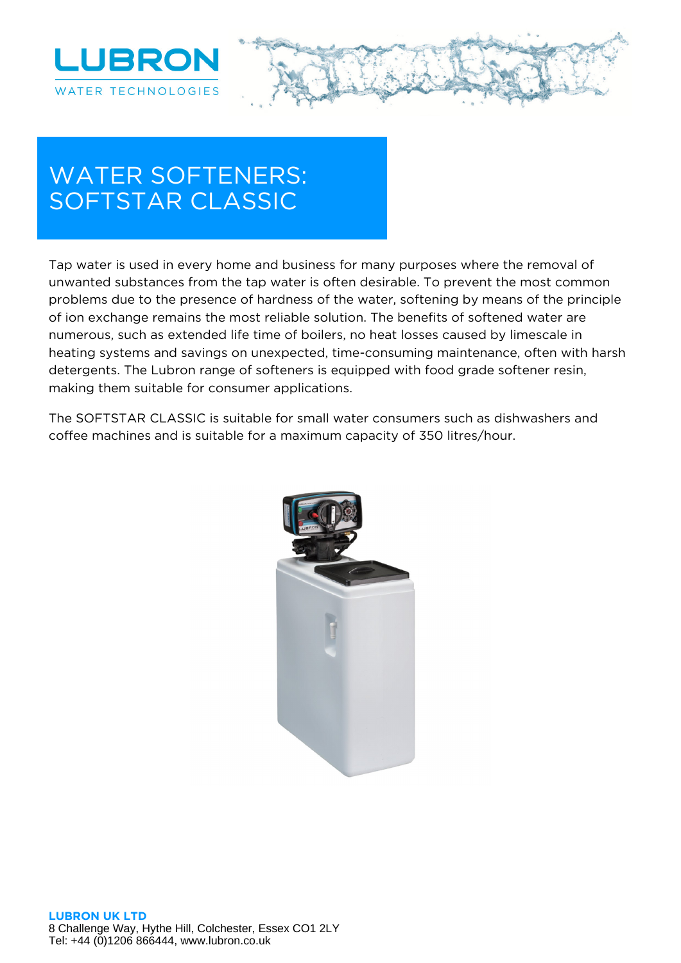



## **WATER SOFTENERS: SOFTSTAR CLASSIC**

Tap water is used in every home and business for many purposes where the removal of unwanted substances from the tap water is often desirable. To prevent the most common problems due to the presence of hardness of the water, softening by means of the principle of ion exchange remains the most reliable solution. The benefits of softened water are numerous, such as extended life time of boilers, no heat losses caused by limescale in heating systems and savings on unexpected, time-consuming maintenance, often with harsh detergents. The Lubron range of softeners is equipped with food grade softener resin, making them suitable for consumer applications.

The SOFTSTAR CLASSIC is suitable for small water consumers such as dishwashers and coffee machines and is suitable for a maximum capacity of 350 litres/hour.